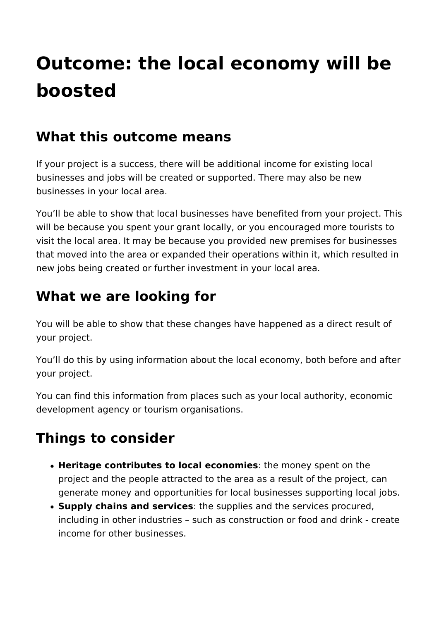# **Outcome: the local economy will be boosted**

#### **What this outcome means**

If your project is a success, there will be additional income for existing local businesses and jobs will be created or supported. There may also be new businesses in your local area.

You'll be able to show that local businesses have benefited from your project. This will be because you spent your grant locally, or you encouraged more tourists to visit the local area. It may be because you provided new premises for businesses that moved into the area or expanded their operations within it, which resulted in new jobs being created or further investment in your local area.

### **What we are looking for**

You will be able to show that these changes have happened as a direct result of your project.

You'll do this by using information about the local economy, both before and after your project.

You can find this information from places such as your local authority, economic development agency or tourism organisations.

## **Things to consider**

- **Heritage contributes to local economies**: the money spent on the project and the people attracted to the area as a result of the project, can generate money and opportunities for local businesses supporting local jobs.
- **Supply chains and services**: the supplies and the services procured, including in other industries – such as construction or food and drink - create income for other businesses.